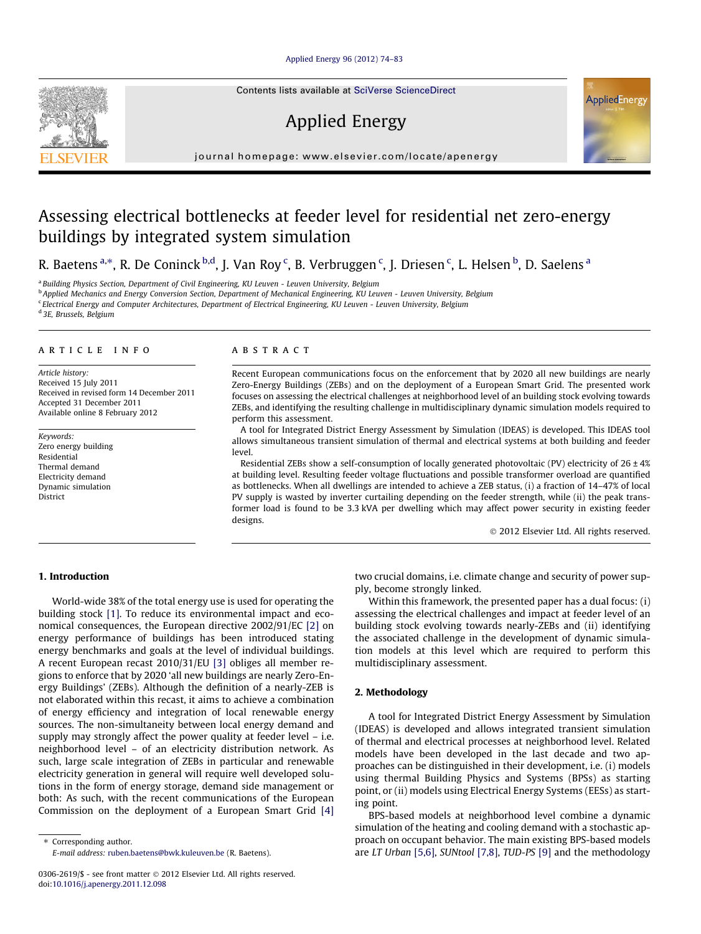## [Applied Energy 96 \(2012\) 74–83](http://dx.doi.org/10.1016/j.apenergy.2011.12.098)

Contents lists available at [SciVerse ScienceDirect](http://www.sciencedirect.com/science/journal/03062619)

# Applied Energy



journal homepage: [www.elsevier.com/locate/apenergy](http://www.elsevier.com/locate/apenergy)

# Assessing electrical bottlenecks at feeder level for residential net zero-energy buildings by integrated system simulation

R. Baetens <sup>a,</sup>\*, R. De Coninck <sup>b,d</sup>, J. Van Roy <sup>c</sup>, B. Verbruggen <sup>c</sup>, J. Driesen <sup>c</sup>, L. Helsen <sup>b</sup>, D. Saelens <sup>a</sup>

<sup>a</sup> Building Physics Section, Department of Civil Engineering, KU Leuven - Leuven University, Belgium

<sup>b</sup> Applied Mechanics and Energy Conversion Section, Department of Mechanical Engineering, KU Leuven - Leuven University, Belgium

<sup>c</sup> Electrical Energy and Computer Architectures, Department of Electrical Engineering, KU Leuven - Leuven University, Belgium

<sup>d</sup> 3E, Brussels, Belgium

#### article info

Article history: Received 15 July 2011 Received in revised form 14 December 2011 Accepted 31 December 2011 Available online 8 February 2012

Keywords: Zero energy building Residential Thermal demand Electricity demand Dynamic simulation District

## **ABSTRACT**

Recent European communications focus on the enforcement that by 2020 all new buildings are nearly Zero-Energy Buildings (ZEBs) and on the deployment of a European Smart Grid. The presented work focuses on assessing the electrical challenges at neighborhood level of an building stock evolving towards ZEBs, and identifying the resulting challenge in multidisciplinary dynamic simulation models required to perform this assessment.

A tool for Integrated District Energy Assessment by Simulation (IDEAS) is developed. This IDEAS tool allows simultaneous transient simulation of thermal and electrical systems at both building and feeder level.

Residential ZEBs show a self-consumption of locally generated photovoltaic (PV) electricity of  $26 \pm 4\%$ at building level. Resulting feeder voltage fluctuations and possible transformer overload are quantified as bottlenecks. When all dwellings are intended to achieve a ZEB status, (i) a fraction of 14–47% of local PV supply is wasted by inverter curtailing depending on the feeder strength, while (ii) the peak transformer load is found to be 3.3 kVA per dwelling which may affect power security in existing feeder designs.

- 2012 Elsevier Ltd. All rights reserved.

# 1. Introduction

World-wide 38% of the total energy use is used for operating the building stock [\[1\].](#page--1-0) To reduce its environmental impact and economical consequences, the European directive 2002/91/EC [\[2\]](#page--1-0) on energy performance of buildings has been introduced stating energy benchmarks and goals at the level of individual buildings. A recent European recast 2010/31/EU [\[3\]](#page--1-0) obliges all member regions to enforce that by 2020 'all new buildings are nearly Zero-Energy Buildings' (ZEBs). Although the definition of a nearly-ZEB is not elaborated within this recast, it aims to achieve a combination of energy efficiency and integration of local renewable energy sources. The non-simultaneity between local energy demand and supply may strongly affect the power quality at feeder level – i.e. neighborhood level – of an electricity distribution network. As such, large scale integration of ZEBs in particular and renewable electricity generation in general will require well developed solutions in the form of energy storage, demand side management or both: As such, with the recent communications of the European Commission on the deployment of a European Smart Grid [\[4\]](#page--1-0) two crucial domains, i.e. climate change and security of power supply, become strongly linked.

Within this framework, the presented paper has a dual focus: (i) assessing the electrical challenges and impact at feeder level of an building stock evolving towards nearly-ZEBs and (ii) identifying the associated challenge in the development of dynamic simulation models at this level which are required to perform this multidisciplinary assessment.

## 2. Methodology

A tool for Integrated District Energy Assessment by Simulation (IDEAS) is developed and allows integrated transient simulation of thermal and electrical processes at neighborhood level. Related models have been developed in the last decade and two approaches can be distinguished in their development, i.e. (i) models using thermal Building Physics and Systems (BPSs) as starting point, or (ii) models using Electrical Energy Systems (EESs) as starting point.

BPS-based models at neighborhood level combine a dynamic simulation of the heating and cooling demand with a stochastic approach on occupant behavior. The main existing BPS-based models are LT Urban [\[5,6\]](#page--1-0), SUNtool [\[7,8\]](#page--1-0), TUD-PS [\[9\]](#page--1-0) and the methodology



<sup>⇑</sup> Corresponding author. E-mail address: [ruben.baetens@bwk.kuleuven.be](mailto:ruben.baetens@bwk.kuleuven.be) (R. Baetens).

<sup>0306-2619/\$ -</sup> see front matter © 2012 Elsevier Ltd. All rights reserved. doi:[10.1016/j.apenergy.2011.12.098](http://dx.doi.org/10.1016/j.apenergy.2011.12.098)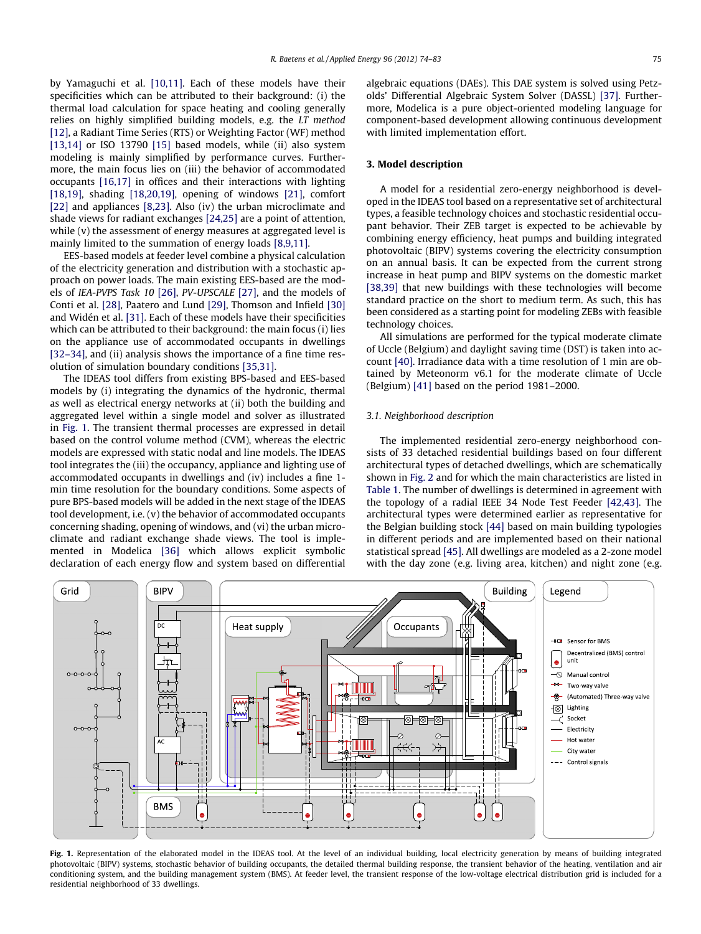by Yamaguchi et al. [\[10,11\]](#page--1-0). Each of these models have their specificities which can be attributed to their background: (i) the thermal load calculation for space heating and cooling generally relies on highly simplified building models, e.g. the LT method [\[12\],](#page--1-0) a Radiant Time Series (RTS) or Weighting Factor (WF) method [\[13,14\]](#page--1-0) or ISO 13790 [\[15\]](#page--1-0) based models, while (ii) also system modeling is mainly simplified by performance curves. Furthermore, the main focus lies on (iii) the behavior of accommodated occupants [\[16,17\]](#page--1-0) in offices and their interactions with lighting [\[18,19\]](#page--1-0), shading [\[18,20,19\],](#page--1-0) opening of windows [\[21\]](#page--1-0), comfort [\[22\]](#page--1-0) and appliances [\[8,23\]](#page--1-0). Also (iv) the urban microclimate and shade views for radiant exchanges [\[24,25\]](#page--1-0) are a point of attention, while (v) the assessment of energy measures at aggregated level is mainly limited to the summation of energy loads [\[8,9,11\].](#page--1-0)

EES-based models at feeder level combine a physical calculation of the electricity generation and distribution with a stochastic approach on power loads. The main existing EES-based are the models of IEA-PVPS Task 10 [\[26\],](#page--1-0) PV-UPSCALE [\[27\]](#page--1-0), and the models of Conti et al. [\[28\]](#page--1-0), Paatero and Lund [\[29\]](#page--1-0), Thomson and Infield [\[30\]](#page--1-0) and Widén et al. [\[31\].](#page--1-0) Each of these models have their specificities which can be attributed to their background: the main focus (i) lies on the appliance use of accommodated occupants in dwellings [\[32–34\]](#page--1-0), and (ii) analysis shows the importance of a fine time resolution of simulation boundary conditions [\[35,31\]](#page--1-0).

The IDEAS tool differs from existing BPS-based and EES-based models by (i) integrating the dynamics of the hydronic, thermal as well as electrical energy networks at (ii) both the building and aggregated level within a single model and solver as illustrated in Fig. 1. The transient thermal processes are expressed in detail based on the control volume method (CVM), whereas the electric models are expressed with static nodal and line models. The IDEAS tool integrates the (iii) the occupancy, appliance and lighting use of accommodated occupants in dwellings and (iv) includes a fine 1 min time resolution for the boundary conditions. Some aspects of pure BPS-based models will be added in the next stage of the IDEAS tool development, i.e. (v) the behavior of accommodated occupants concerning shading, opening of windows, and (vi) the urban microclimate and radiant exchange shade views. The tool is implemented in Modelica [\[36\]](#page--1-0) which allows explicit symbolic declaration of each energy flow and system based on differential algebraic equations (DAEs). This DAE system is solved using Petzolds' Differential Algebraic System Solver (DASSL) [\[37\].](#page--1-0) Furthermore, Modelica is a pure object-oriented modeling language for component-based development allowing continuous development with limited implementation effort.

# 3. Model description

A model for a residential zero-energy neighborhood is developed in the IDEAS tool based on a representative set of architectural types, a feasible technology choices and stochastic residential occupant behavior. Their ZEB target is expected to be achievable by combining energy efficiency, heat pumps and building integrated photovoltaic (BIPV) systems covering the electricity consumption on an annual basis. It can be expected from the current strong increase in heat pump and BIPV systems on the domestic market [\[38,39\]](#page--1-0) that new buildings with these technologies will become standard practice on the short to medium term. As such, this has been considered as a starting point for modeling ZEBs with feasible technology choices.

All simulations are performed for the typical moderate climate of Uccle (Belgium) and daylight saving time (DST) is taken into account [\[40\].](#page--1-0) Irradiance data with a time resolution of 1 min are obtained by Meteonorm v6.1 for the moderate climate of Uccle (Belgium) [\[41\]](#page--1-0) based on the period 1981–2000.

#### 3.1. Neighborhood description

The implemented residential zero-energy neighborhood consists of 33 detached residential buildings based on four different architectural types of detached dwellings, which are schematically shown in [Fig. 2](#page--1-0) and for which the main characteristics are listed in [Table 1.](#page--1-0) The number of dwellings is determined in agreement with the topology of a radial IEEE 34 Node Test Feeder [\[42,43\].](#page--1-0) The architectural types were determined earlier as representative for the Belgian building stock [\[44\]](#page--1-0) based on main building typologies in different periods and are implemented based on their national statistical spread [\[45\]](#page--1-0). All dwellings are modeled as a 2-zone model with the day zone (e.g. living area, kitchen) and night zone (e.g.



Fig. 1. Representation of the elaborated model in the IDEAS tool. At the level of an individual building, local electricity generation by means of building integrated photovoltaic (BIPV) systems, stochastic behavior of building occupants, the detailed thermal building response, the transient behavior of the heating, ventilation and air conditioning system, and the building management system (BMS). At feeder level, the transient response of the low-voltage electrical distribution grid is included for a residential neighborhood of 33 dwellings.